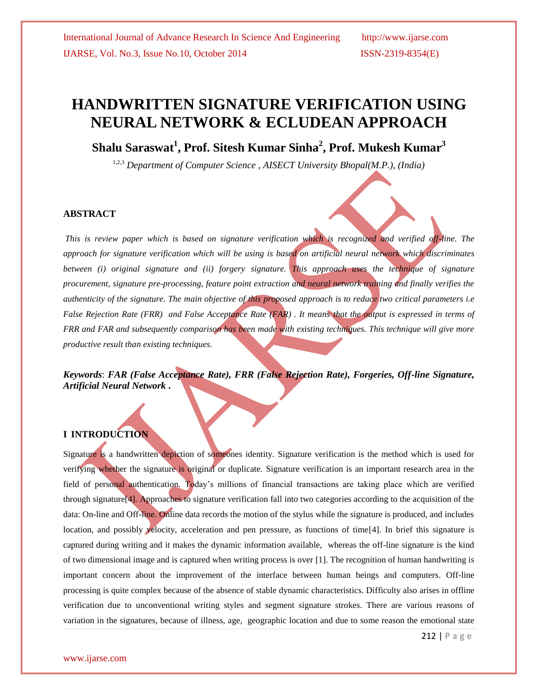# **HANDWRITTEN SIGNATURE VERIFICATION USING NEURAL NETWORK & ECLUDEAN APPROACH**

**Shalu Saraswat<sup>1</sup> , Prof. Sitesh Kumar Sinha<sup>2</sup> , Prof. Mukesh Kumar<sup>3</sup>**

1,2,3 *Department of Computer Science , AISECT University Bhopal(M.P.), (India)*

#### **ABSTRACT**

*This is review paper which is based on signature verification which is recognized and verified off-line. The approach for signature verification which will be using is based on artificial neural network which discriminates between (i) original signature and (ii) forgery signature. This approach uses the technique of signature procurement, signature pre-processing, feature point extraction and neural network training and finally verifies the authenticity of the signature. The main objective of this proposed approach is to reduce two critical parameters i.e False Rejection Rate (FRR) and False Acceptance Rate (FAR). It means that the output is expressed in terms of FRR and FAR and subsequently comparison has been made with existing techniques. This technique will give more productive result than existing techniques.* 

*Keywords*: *FAR (False Acceptance Rate), FRR (False Rejection Rate), Forgeries, Off-line Signature, Artificial Neural Network* **.**

# **I INTRODUCTION**

Signature is a handwritten depiction of someones identity. Signature verification is the method which is used for verifying whether the signature is original or duplicate. Signature verification is an important research area in the field of personal authentication. Today's millions of financial transactions are taking place which are verified through signature[4]. Approaches to signature verification fall into two categories according to the acquisition of the data: On-line and Off-line. Online data records the motion of the stylus while the signature is produced, and includes location, and possibly velocity, acceleration and pen pressure, as functions of time[4]. In brief this signature is captured during writing and it makes the dynamic information available, whereas the off-line signature is the kind of two dimensional image and is captured when writing process is over [1]. The recognition of human handwriting is important concern about the improvement of the interface between human beings and computers. Off-line processing is quite complex because of the absence of stable dynamic characteristics. Difficulty also arises in offline verification due to unconventional writing styles and segment signature strokes. There are various reasons of variation in the signatures, because of illness, age, geographic location and due to some reason the emotional state

212 | P a g e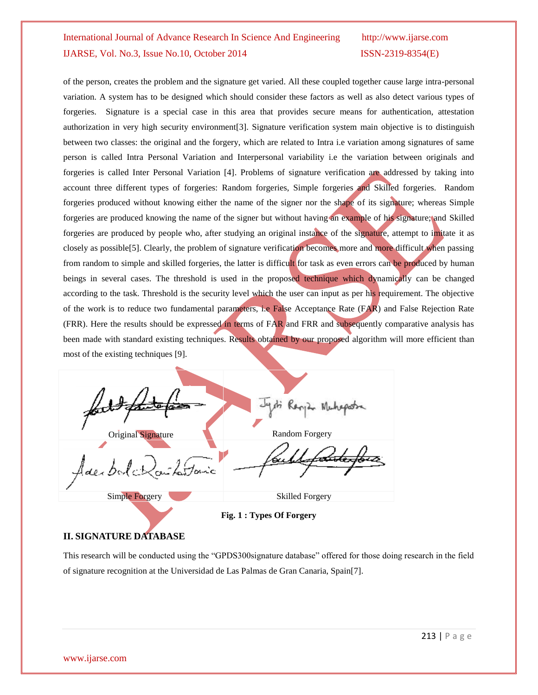# of the person, creates the problem and the signature get varied. All these coupled together cause large intra-personal variation. A system has to be designed which should consider these factors as well as also detect various types of forgeries. Signature is a special case in this area that provides secure means for authentication, attestation authorization in very high security environment[3]. Signature verification system main objective is to distinguish between two classes: the original and the forgery, which are related to Intra i.e variation among signatures of same person is called Intra Personal Variation and Interpersonal variability i.e the variation between originals and forgeries is called Inter Personal Variation [4]. Problems of signature verification are addressed by taking into account three different types of forgeries: Random forgeries, Simple forgeries and Skilled forgeries. Random forgeries produced without knowing either the name of the signer nor the shape of its signature; whereas Simple forgeries are produced knowing the name of the signer but without having an example of his signature; and Skilled forgeries are produced by people who, after studying an original instance of the signature, attempt to imitate it as closely as possible[5]. Clearly, the problem of signature verification becomes more and more difficult when passing from random to simple and skilled forgeries, the latter is difficult for task as even errors can be produced by human beings in several cases. The threshold is used in the proposed technique which dynamically can be changed according to the task. Threshold is the security level which the user can input as per his requirement. The objective of the work is to reduce two fundamental parameters, i.e False Acceptance Rate (FAR) and False Rejection Rate (FRR). Here the results should be expressed in terms of FAR and FRR and subsequently comparative analysis has been made with standard existing techniques. Results obtained by our proposed algorithm will more efficient than most of the existing techniques [9].

Original Signature **Random Forgery** Adexbolc *farfonic* Simple Forgery Skilled Forgery

**Fig. 1 : Types Of Forgery**

# **II. SIGNATURE DATABASE**

This research will be conducted using the "GPDS300signature database" offered for those doing research in the field of signature recognition at the Universidad de Las Palmas de Gran Canaria, Spain[7].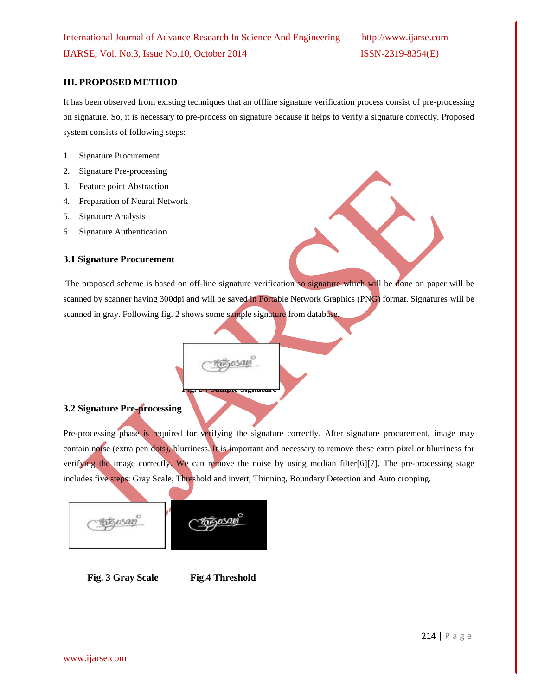#### **III. PROPOSED METHOD**

It has been observed from existing techniques that an offline signature verification process consist of pre-processing on signature. So, it is necessary to pre-process on signature because it helps to verify a signature correctly. Proposed system consists of following steps:

- 1. Signature Procurement
- 2. Signature Pre-processing
- 3. Feature point Abstraction
- 4. Preparation of Neural Network
- 5. Signature Analysis
- 6. Signature Authentication

#### **3.1 Signature Procurement**

The proposed scheme is based on off-line signature verification so signature which will be done on paper will be scanned by scanner having 300dpi and will be saved in Portable Network Graphics (PNG) format. Signatures will be scanned in gray. Following fig. 2 shows some sample signature from database.

#### **3.2 Signature Pre-processing**

Pre-processing phase is required for verifying the signature correctly. After signature procurement, image may contain noise (extra pen dots), blurriness. It is important and necessary to remove these extra pixel or blurriness for verifying the image correctly. We can remove the noise by using median filter[6][7]. The pre-processing stage includes five steps: Gray Scale, Threshold and invert, Thinning, Boundary Detection and Auto cropping.

 **Fig. 2 : Sample Signature**

 $1500$ 

sersan

 **Fig. 3 Gray Scale Fig.4 Threshold**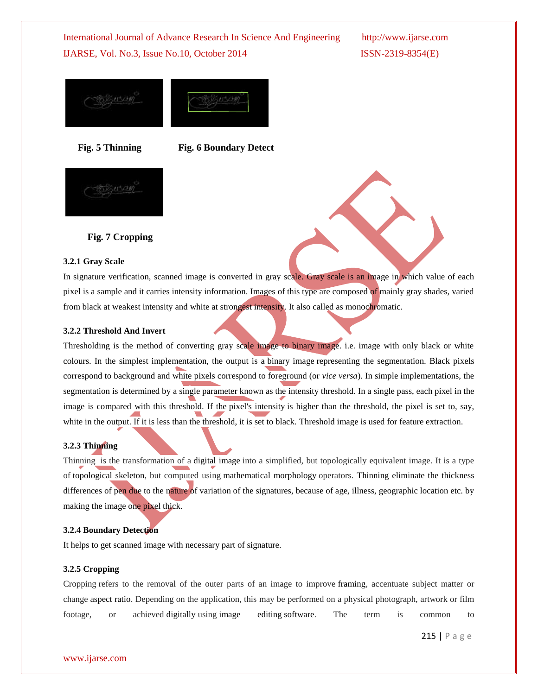

 **Fig. 5 Thinning Fig. 6 Boundary Detect**



# **Fig. 7 Cropping**

#### **3.2.1 Gray Scale**

In signature verification, scanned image is converted in gray scale. Gray scale is an image in which value of each pixel is a sample and it carries intensity information. Images of this type are composed of mainly gray shades, varied from black at weakest intensity and white at strongest intensity. It also called as monochromatic.

#### **3.2.2 Threshold And Invert**

Thresholding is the method of converting gray scale image to binary image. i.e. image with only black or white colours. In the simplest implementation, the output is a binary image representing the segmentation. Black pixels correspond to background and white pixels correspond to foreground (or *vice versa*). In simple implementations, the segmentation is determined by a single parameter known as the intensity threshold. In a single pass, each pixel in the image is compared with this threshold. If the pixel's intensity is higher than the threshold, the pixel is set to, say, white in the output. If it is less than the threshold, it is set to black. Threshold image is used for feature extraction.

### **3.2.3 Thinning**

Thinning is the transformation of a digital image into a simplified, but topologically equivalent image. It is a type of topological skeleton, but computed using mathematical morphology operators. Thinning eliminate the thickness differences of pen due to the nature of variation of the signatures, because of age, illness, geographic location etc. by making the image one pixel thick.

#### **3.2.4 Boundary Detection**

It helps to get scanned image with necessary part of signature.

#### **3.2.5 Cropping**

Cropping refers to the removal of the outer parts of an image to improve framing, accentuate subject matter or change aspect ratio. Depending on the application, this may be performed on a physical photograph, artwork or film footage, or achieved digitally using image editing software. The term is common to

215 | P a g e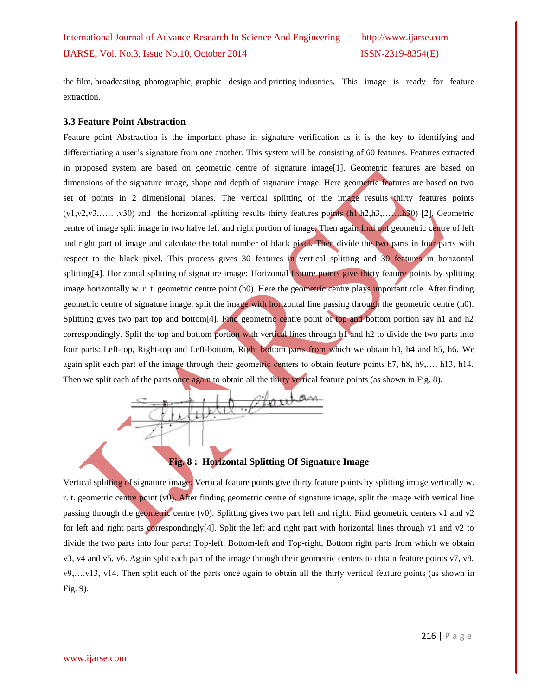the film, broadcasting, photographic, graphic design and printing industries. This image is ready for feature extraction.

#### **3.3 Feature Point Abstraction**

Feature point Abstraction is the important phase in signature verification as it is the key to identifying and differentiating a user's signature from one another. This system will be consisting of 60 features. Features extracted in proposed system are based on geometric centre of signature image[1]. Geometric features are based on dimensions of the signature image, shape and depth of signature image. Here geometric features are based on two set of points in 2 dimensional planes. The vertical splitting of the image results thirty features points  $(v1,v2,v3,......,v30)$  and the horizontal splitting results thirty features points  $(h1,h2,h3,...,h30)$  [2]. Geometric centre of image split image in two halve left and right portion of image. Then again find out geometric centre of left and right part of image and calculate the total number of black pixel. Then divide the two parts in four parts with respect to the black pixel. This process gives 30 features in vertical splitting and 30 features in horizontal splitting[4]. Horizontal splitting of signature image: Horizontal feature points give thirty feature points by splitting image horizontally w. r. t. geometric centre point (h0). Here the geometric centre plays important role. After finding geometric centre of signature image, split the image with horizontal line passing through the geometric centre (h0). Splitting gives two part top and bottom[4]. Find geometric centre point of top and bottom portion say h1 and h2 correspondingly. Split the top and bottom portion with vertical lines through h1 and h2 to divide the two parts into four parts: Left-top, Right-top and Left-bottom, Right bottom parts from which we obtain h3, h4 and h5, h6. We again split each part of the image through their geometric centers to obtain feature points h7, h8, h9,…, h13, h14. Then we split each of the parts once again to obtain all the thirty vertical feature points (as shown in Fig. 8).



### **Fig. 8 : Horizontal Splitting Of Signature Image**

Vertical splitting of signature image: Vertical feature points give thirty feature points by splitting image vertically w. r. t. geometric centre point  $(v0)$ . After finding geometric centre of signature image, split the image with vertical line passing through the geometric centre (v0). Splitting gives two part left and right. Find geometric centers v1 and v2 for left and right parts correspondingly[4]. Split the left and right part with horizontal lines through v1 and v2 to divide the two parts into four parts: Top-left, Bottom-left and Top-right, Bottom right parts from which we obtain v3, v4 and v5, v6. Again split each part of the image through their geometric centers to obtain feature points v7, v8, v9,….v13, v14. Then split each of the parts once again to obtain all the thirty vertical feature points (as shown in Fig. 9).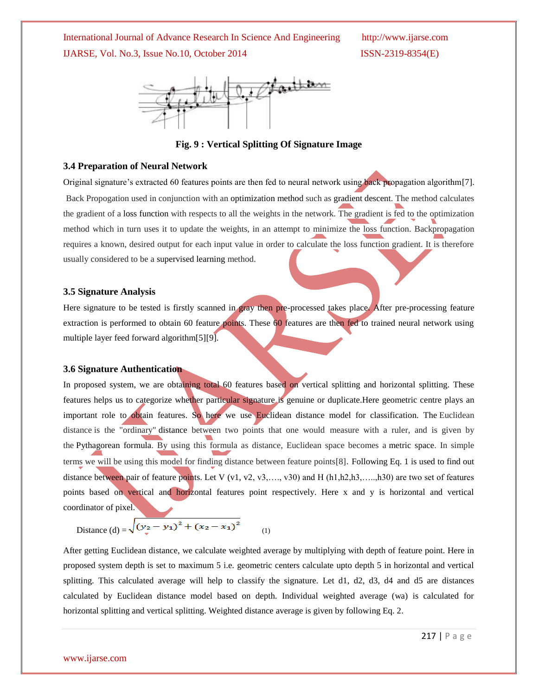

**Fig. 9 : Vertical Splitting Of Signature Image**

#### **3.4 Preparation of Neural Network**

Original signature's extracted 60 features points are then fed to neural network using back propagation algorithm[7]. Back Propogation used in conjunction with an optimization method such as gradient descent. The method calculates the gradient of a loss function with respects to all the weights in the network. The gradient is fed to the optimization method which in turn uses it to update the weights, in an attempt to minimize the loss function. Backpropagation requires a known, desired output for each input value in order to calculate the loss function gradient. It is therefore usually considered to be a supervised learning method.

#### **3.5 Signature Analysis**

Here signature to be tested is firstly scanned in gray then pre-processed takes place. After pre-processing feature extraction is performed to obtain 60 feature points. These 60 features are then fed to trained neural network using multiple layer feed forward algorithm[5][9].

#### **3.6 Signature Authentication**

In proposed system, we are obtaining total 60 features based on vertical splitting and horizontal splitting. These features helps us to categorize whether particular signature is genuine or duplicate.Here geometric centre plays an important role to obtain features. So here we use Euclidean distance model for classification. The Euclidean distance is the "ordinary" distance between two points that one would measure with a ruler, and is given by the Pythagorean formula. By using this formula as distance, Euclidean space becomes a metric space. In simple terms we will be using this model for finding distance between feature points[8]. Following Eq. 1 is used to find out distance between pair of feature points. Let V (v1, v2, v3, ..., v30) and H (h1,h2,h3, ...,,h30) are two set of features points based on vertical and horizontal features point respectively. Here x and y is horizontal and vertical coordinator of pixel.

Distance (d) = 
$$
\sqrt{(y_2 - y_1)^2 + (x_2 - x_1)^2}
$$
 (1)

After getting Euclidean distance, we calculate weighted average by multiplying with depth of feature point. Here in proposed system depth is set to maximum 5 i.e. geometric centers calculate upto depth 5 in horizontal and vertical splitting. This calculated average will help to classify the signature. Let d1, d2, d3, d4 and d5 are distances calculated by Euclidean distance model based on depth. Individual weighted average (wa) is calculated for horizontal splitting and vertical splitting. Weighted distance average is given by following Eq. 2.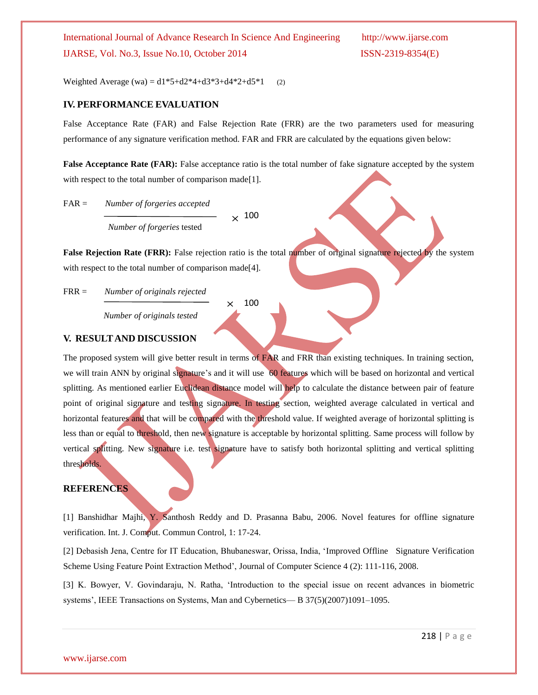Weighted Average (wa) =  $d1*5+d2*4+d3*3+d4*2+d5*1$  (2)

#### **IV. PERFORMANCE EVALUATION**

False Acceptance Rate (FAR) and False Rejection Rate (FRR) are the two parameters used for measuring performance of any signature verification method. FAR and FRR are calculated by the equations given below:

**False Acceptance Rate (FAR):** False acceptance ratio is the total number of fake signature accepted by the system with respect to the total number of comparison made<sup>[1]</sup>.

FAR = *Number of forgeries accepted Number of forgeries* tested  $\times$  100

**False Rejection Rate (FRR):** False rejection ratio is the total number of original signature rejected by the system with respect to the total number of comparison made<sup>[4]</sup>.

FRR = *Number of originals rejected* 

*Number of originals tested*

100 $\times$ 

#### **V. RESULTAND DISCUSSION**

The proposed system will give better result in terms of FAR and FRR than existing techniques. In training section, we will train ANN by original signature's and it will use 60 features which will be based on horizontal and vertical splitting. As mentioned earlier Euclidean distance model will help to calculate the distance between pair of feature point of original signature and testing signature. In testing section, weighted average calculated in vertical and horizontal features and that will be compared with the threshold value. If weighted average of horizontal splitting is less than or equal to threshold, then new signature is acceptable by horizontal splitting. Same process will follow by vertical splitting. New signature i.e. test signature have to satisfy both horizontal splitting and vertical splitting thresholds.

#### **REFERENCES**

[1] Banshidhar Majhi, Y. Santhosh Reddy and D. Prasanna Babu, 2006. Novel features for offline signature verification. Int. J. Comput. Commun Control, 1: 17-24.

[2] Debasish Jena, Centre for IT Education, Bhubaneswar, Orissa, India, ‗Improved Offline Signature Verification Scheme Using Feature Point Extraction Method', Journal of Computer Science 4 (2): 111-116, 2008.

[3] K. Bowyer, V. Govindaraju, N. Ratha, 'Introduction to the special issue on recent advances in biometric systems', IEEE Transactions on Systems, Man and Cybernetics— B 37(5)(2007)1091–1095.